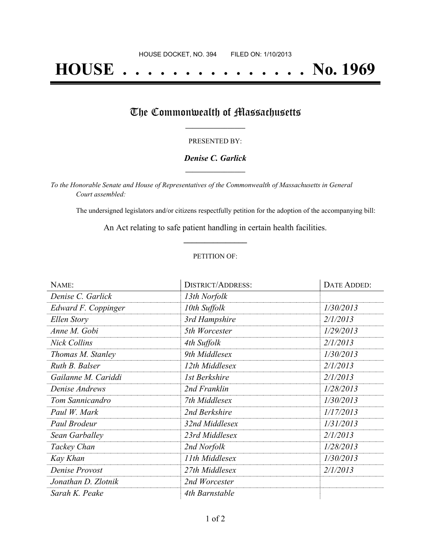# **HOUSE . . . . . . . . . . . . . . . No. 1969**

## The Commonwealth of Massachusetts

#### PRESENTED BY:

#### *Denise C. Garlick* **\_\_\_\_\_\_\_\_\_\_\_\_\_\_\_\_\_**

*To the Honorable Senate and House of Representatives of the Commonwealth of Massachusetts in General Court assembled:*

The undersigned legislators and/or citizens respectfully petition for the adoption of the accompanying bill:

An Act relating to safe patient handling in certain health facilities. **\_\_\_\_\_\_\_\_\_\_\_\_\_\_\_**

#### PETITION OF:

| NAME:               | <b>DISTRICT/ADDRESS:</b> | DATE ADDED: |
|---------------------|--------------------------|-------------|
| Denise C. Garlick   | 13th Norfolk             |             |
| Edward F. Coppinger | 10th Suffolk             | 1/30/2013   |
| Ellen Story         | 3rd Hampshire            | 2/1/2013    |
| Anne M. Gobi        | 5th Worcester            | 1/29/2013   |
| <b>Nick Collins</b> | 4th Suffolk              | 2/1/2013    |
| Thomas M. Stanley   | 9th Middlesex            | 1/30/2013   |
| Ruth B. Balser      | 12th Middlesex           | 2/1/2013    |
| Gailanne M. Cariddi | 1st Berkshire            | 2/1/2013    |
| Denise Andrews      | 2nd Franklin             | 1/28/2013   |
| Tom Sannicandro     | 7th Middlesex            | 1/30/2013   |
| Paul W. Mark        | 2nd Berkshire            | 1/17/2013   |
| Paul Brodeur        | 32nd Middlesex           | 1/31/2013   |
| Sean Garballey      | 23rd Middlesex           | 2/1/2013    |
| Tackey Chan         | 2nd Norfolk              | 1/28/2013   |
| Kay Khan            | 11th Middlesex           | 1/30/2013   |
| Denise Provost      | 27th Middlesex           | 2/1/2013    |
| Jonathan D. Zlotnik | 2nd Worcester            |             |
| Sarah K. Peake      | 4th Barnstable           |             |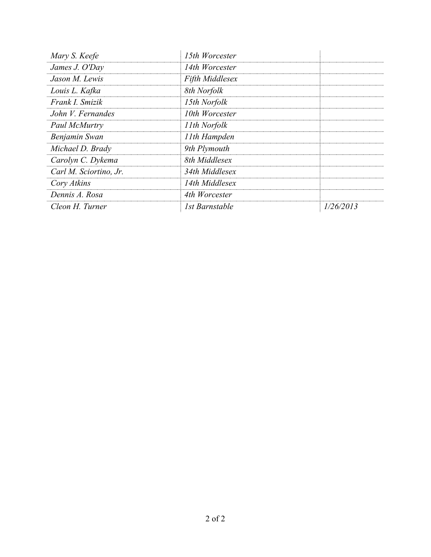| Mary S. Keefe          | 15th Worcester         |           |
|------------------------|------------------------|-----------|
| James J. O'Day         | 14th Worcester         |           |
| Jason M. Lewis         | <b>Fifth Middlesex</b> |           |
| Louis L. Kafka         | 8th Norfolk            |           |
| Frank I. Smizik        | 15th Norfolk           |           |
| John V. Fernandes      | 10th Worcester         |           |
| Paul McMurtry          | 11th Norfolk           |           |
| Benjamin Swan          | 11th Hampden           |           |
| Michael D. Brady       | 9th Plymouth           |           |
| Carolyn C. Dykema      | 8th Middlesex          |           |
| Carl M. Sciortino, Jr. | 34th Middlesex         |           |
| Cory Atkins            | 14th Middlesex         |           |
| Dennis A. Rosa         | 4th Worcester          |           |
| Cleon H. Turner        | 1st Barnstable         | 1/26/2013 |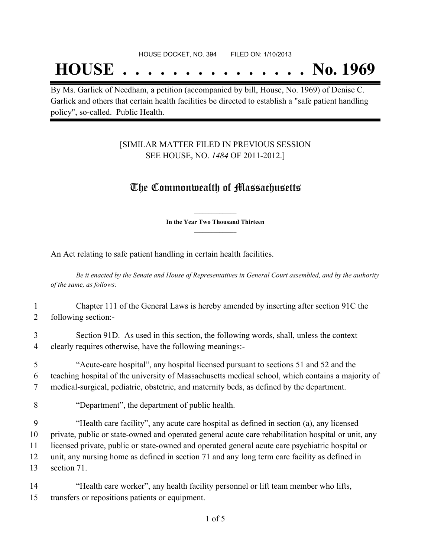## **HOUSE . . . . . . . . . . . . . . . No. 1969**

By Ms. Garlick of Needham, a petition (accompanied by bill, House, No. 1969) of Denise C. Garlick and others that certain health facilities be directed to establish a "safe patient handling policy", so-called. Public Health.

### [SIMILAR MATTER FILED IN PREVIOUS SESSION SEE HOUSE, NO. *1484* OF 2011-2012.]

## The Commonwealth of Massachusetts

**\_\_\_\_\_\_\_\_\_\_\_\_\_\_\_ In the Year Two Thousand Thirteen \_\_\_\_\_\_\_\_\_\_\_\_\_\_\_**

An Act relating to safe patient handling in certain health facilities.

Be it enacted by the Senate and House of Representatives in General Court assembled, and by the authority *of the same, as follows:*

1 Chapter 111 of the General Laws is hereby amended by inserting after section 91C the 2 following section:-

3 Section 91D. As used in this section, the following words, shall, unless the context 4 clearly requires otherwise, have the following meanings:-

5 "Acute-care hospital", any hospital licensed pursuant to sections 51 and 52 and the 6 teaching hospital of the university of Massachusetts medical school, which contains a majority of 7 medical-surgical, pediatric, obstetric, and maternity beds, as defined by the department.

8 "Department", the department of public health.

 "Health care facility", any acute care hospital as defined in section (a), any licensed private, public or state-owned and operated general acute care rehabilitation hospital or unit, any licensed private, public or state-owned and operated general acute care psychiatric hospital or unit, any nursing home as defined in section 71 and any long term care facility as defined in section 71.

14 "Health care worker", any health facility personnel or lift team member who lifts, 15 transfers or repositions patients or equipment.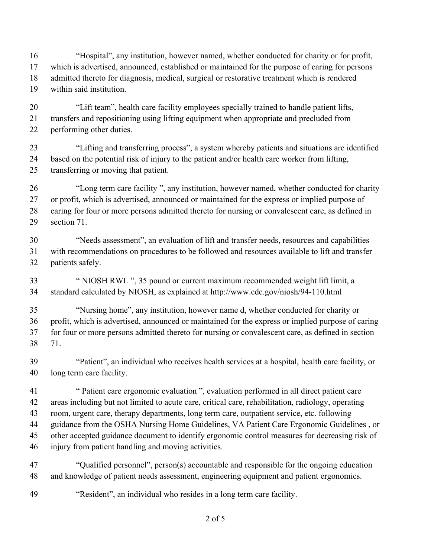"Hospital", any institution, however named, whether conducted for charity or for profit, which is advertised, announced, established or maintained for the purpose of caring for persons admitted thereto for diagnosis, medical, surgical or restorative treatment which is rendered within said institution.

 "Lift team", health care facility employees specially trained to handle patient lifts, transfers and repositioning using lifting equipment when appropriate and precluded from performing other duties.

 "Lifting and transferring process", a system whereby patients and situations are identified based on the potential risk of injury to the patient and/or health care worker from lifting, transferring or moving that patient.

 "Long term care facility ", any institution, however named, whether conducted for charity or profit, which is advertised, announced or maintained for the express or implied purpose of 28 caring for four or more persons admitted thereto for nursing or convalescent care, as defined in section 71.

 "Needs assessment", an evaluation of lift and transfer needs, resources and capabilities with recommendations on procedures to be followed and resources available to lift and transfer patients safely.

 " NIOSH RWL ", 35 pound or current maximum recommended weight lift limit, a standard calculated by NIOSH, as explained at http://www.cdc.gov/niosh/94-110.html

 "Nursing home", any institution, however name d, whether conducted for charity or profit, which is advertised, announced or maintained for the express or implied purpose of caring for four or more persons admitted thereto for nursing or convalescent care, as defined in section 71.

 "Patient", an individual who receives health services at a hospital, health care facility, or long term care facility.

 " Patient care ergonomic evaluation ", evaluation performed in all direct patient care areas including but not limited to acute care, critical care, rehabilitation, radiology, operating room, urgent care, therapy departments, long term care, outpatient service, etc. following guidance from the OSHA Nursing Home Guidelines, VA Patient Care Ergonomic Guidelines , or other accepted guidance document to identify ergonomic control measures for decreasing risk of injury from patient handling and moving activities.

 "Qualified personnel", person(s) accountable and responsible for the ongoing education and knowledge of patient needs assessment, engineering equipment and patient ergonomics.

"Resident", an individual who resides in a long term care facility.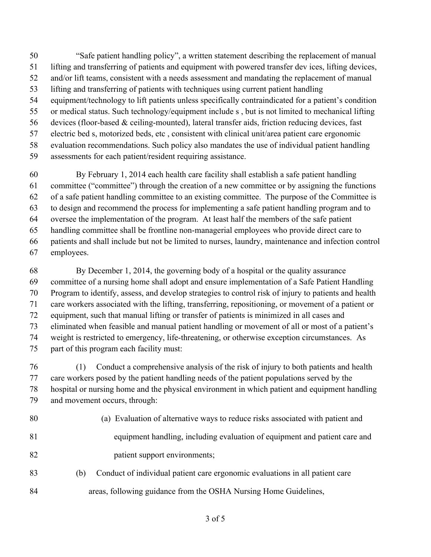"Safe patient handling policy", a written statement describing the replacement of manual lifting and transferring of patients and equipment with powered transfer dev ices, lifting devices, and/or lift teams, consistent with a needs assessment and mandating the replacement of manual lifting and transferring of patients with techniques using current patient handling equipment/technology to lift patients unless specifically contraindicated for a patient's condition or medical status. Such technology/equipment include s , but is not limited to mechanical lifting devices (floor-based & ceiling-mounted), lateral transfer aids, friction reducing devices, fast electric bed s, motorized beds, etc , consistent with clinical unit/area patient care ergonomic evaluation recommendations. Such policy also mandates the use of individual patient handling assessments for each patient/resident requiring assistance.

 By February 1, 2014 each health care facility shall establish a safe patient handling committee ("committee") through the creation of a new committee or by assigning the functions of a safe patient handling committee to an existing committee. The purpose of the Committee is to design and recommend the process for implementing a safe patient handling program and to oversee the implementation of the program. At least half the members of the safe patient handling committee shall be frontline non-managerial employees who provide direct care to patients and shall include but not be limited to nurses, laundry, maintenance and infection control employees.

 By December 1, 2014, the governing body of a hospital or the quality assurance committee of a nursing home shall adopt and ensure implementation of a Safe Patient Handling Program to identify, assess, and develop strategies to control risk of injury to patients and health care workers associated with the lifting, transferring, repositioning, or movement of a patient or equipment, such that manual lifting or transfer of patients is minimized in all cases and eliminated when feasible and manual patient handling or movement of all or most of a patient's weight is restricted to emergency, life-threatening, or otherwise exception circumstances. As part of this program each facility must:

 (1) Conduct a comprehensive analysis of the risk of injury to both patients and health care workers posed by the patient handling needs of the patient populations served by the hospital or nursing home and the physical environment in which patient and equipment handling and movement occurs, through:

- 80 (a) Evaluation of alternative ways to reduce risks associated with patient and
- 81 equipment handling, including evaluation of equipment and patient care and
- 82 patient support environments;
- (b) Conduct of individual patient care ergonomic evaluations in all patient care
- 84 areas, following guidance from the OSHA Nursing Home Guidelines,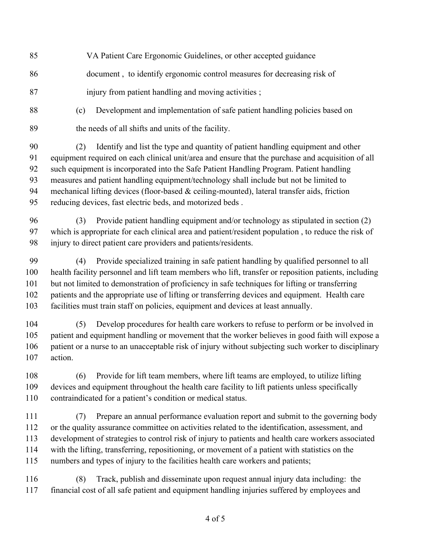| 85                               | VA Patient Care Ergonomic Guidelines, or other accepted guidance                                                                                                                                                                                                                                                                                                                                                                                                                                                                             |
|----------------------------------|----------------------------------------------------------------------------------------------------------------------------------------------------------------------------------------------------------------------------------------------------------------------------------------------------------------------------------------------------------------------------------------------------------------------------------------------------------------------------------------------------------------------------------------------|
| 86                               | document, to identify ergonomic control measures for decreasing risk of                                                                                                                                                                                                                                                                                                                                                                                                                                                                      |
| 87                               | injury from patient handling and moving activities;                                                                                                                                                                                                                                                                                                                                                                                                                                                                                          |
| 88                               | Development and implementation of safe patient handling policies based on<br>(c)                                                                                                                                                                                                                                                                                                                                                                                                                                                             |
| 89                               | the needs of all shifts and units of the facility.                                                                                                                                                                                                                                                                                                                                                                                                                                                                                           |
| 90<br>91<br>92<br>93<br>94<br>95 | Identify and list the type and quantity of patient handling equipment and other<br>(2)<br>equipment required on each clinical unit/area and ensure that the purchase and acquisition of all<br>such equipment is incorporated into the Safe Patient Handling Program. Patient handling<br>measures and patient handling equipment/technology shall include but not be limited to<br>mechanical lifting devices (floor-based & ceiling-mounted), lateral transfer aids, friction<br>reducing devices, fast electric beds, and motorized beds. |
| 96<br>97<br>98                   | Provide patient handling equipment and/or technology as stipulated in section (2)<br>(3)<br>which is appropriate for each clinical area and patient/resident population, to reduce the risk of<br>injury to direct patient care providers and patients/residents.                                                                                                                                                                                                                                                                            |
| 99<br>100<br>101<br>102<br>103   | Provide specialized training in safe patient handling by qualified personnel to all<br>(4)<br>health facility personnel and lift team members who lift, transfer or reposition patients, including<br>but not limited to demonstration of proficiency in safe techniques for lifting or transferring<br>patients and the appropriate use of lifting or transferring devices and equipment. Health care<br>facilities must train staff on policies, equipment and devices at least annually.                                                  |
| 104<br>105<br>106<br>107         | Develop procedures for health care workers to refuse to perform or be involved in<br>(5)<br>patient and equipment handling or movement that the worker believes in good faith will expose a<br>patient or a nurse to an unacceptable risk of injury without subjecting such worker to disciplinary<br>action.                                                                                                                                                                                                                                |
| 108<br>109<br>110                | Provide for lift team members, where lift teams are employed, to utilize lifting<br>(6)<br>devices and equipment throughout the health care facility to lift patients unless specifically<br>contraindicated for a patient's condition or medical status.                                                                                                                                                                                                                                                                                    |
| 111<br>112<br>113<br>114<br>115  | Prepare an annual performance evaluation report and submit to the governing body<br>(7)<br>or the quality assurance committee on activities related to the identification, assessment, and<br>development of strategies to control risk of injury to patients and health care workers associated<br>with the lifting, transferring, repositioning, or movement of a patient with statistics on the<br>numbers and types of injury to the facilities health care workers and patients;                                                        |
| 116<br>117                       | Track, publish and disseminate upon request annual injury data including: the<br>(8)<br>financial cost of all safe patient and equipment handling injuries suffered by employees and                                                                                                                                                                                                                                                                                                                                                         |

of 5